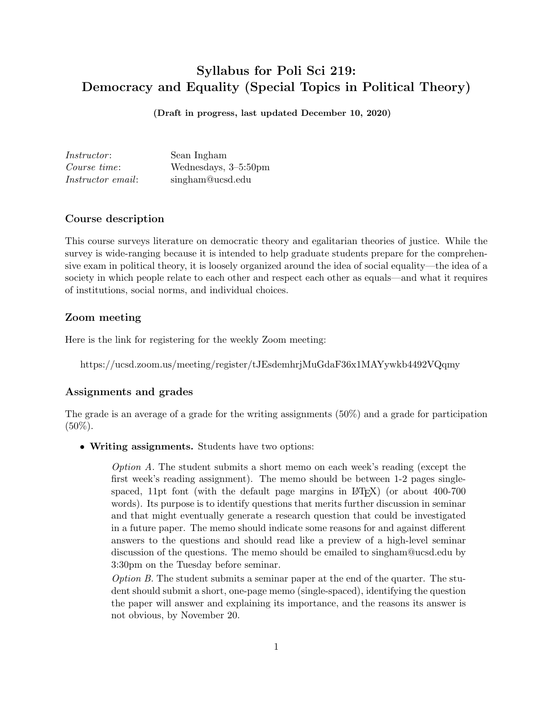# Syllabus for Poli Sci 219: Democracy and Equality (Special Topics in Political Theory)

(Draft in progress, last updated December 10, 2020)

| <i>Instructor:</i>       | Sean Ingham          |
|--------------------------|----------------------|
| Course time:             | Wednesdays, 3-5:50pm |
| <i>Instructor email:</i> | singham@ucsd.edu     |

### Course description

This course surveys literature on democratic theory and egalitarian theories of justice. While the survey is wide-ranging because it is intended to help graduate students prepare for the comprehensive exam in political theory, it is loosely organized around the idea of social equality—the idea of a society in which people relate to each other and respect each other as equals—and what it requires of institutions, social norms, and individual choices.

## Zoom meeting

Here is the link for registering for the weekly Zoom meeting:

https://ucsd.zoom.us/meeting/register/tJEsdemhrjMuGdaF36x1MAYywkb4492VQqmy

### Assignments and grades

The grade is an average of a grade for the writing assignments (50%) and a grade for participation  $(50\%).$ 

• Writing assignments. Students have two options:

Option A. The student submits a short memo on each week's reading (except the first week's reading assignment). The memo should be between 1-2 pages singlespaced, 11pt font (with the default page margins in LATEX) (or about 400-700 words). Its purpose is to identify questions that merits further discussion in seminar and that might eventually generate a research question that could be investigated in a future paper. The memo should indicate some reasons for and against different answers to the questions and should read like a preview of a high-level seminar discussion of the questions. The memo should be emailed to singham@ucsd.edu by 3:30pm on the Tuesday before seminar.

Option B. The student submits a seminar paper at the end of the quarter. The student should submit a short, one-page memo (single-spaced), identifying the question the paper will answer and explaining its importance, and the reasons its answer is not obvious, by November 20.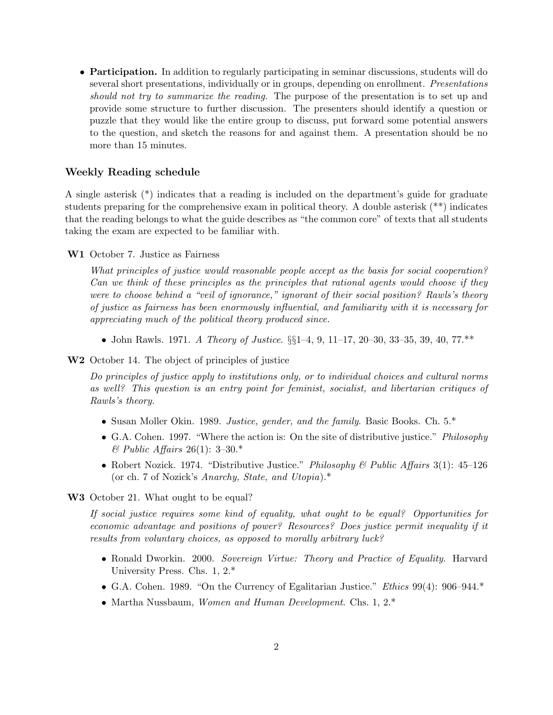• Participation. In addition to regularly participating in seminar discussions, students will do several short presentations, individually or in groups, depending on enrollment. Presentations should not try to summarize the reading. The purpose of the presentation is to set up and provide some structure to further discussion. The presenters should identify a question or puzzle that they would like the entire group to discuss, put forward some potential answers to the question, and sketch the reasons for and against them. A presentation should be no more than 15 minutes.

### Weekly Reading schedule

A single asterisk (\*) indicates that a reading is included on the department's guide for graduate students preparing for the comprehensive exam in political theory. A double asterisk (\*\*) indicates that the reading belongs to what the guide describes as "the common core" of texts that all students taking the exam are expected to be familiar with.

W1 October 7. Justice as Fairness

What principles of justice would reasonable people accept as the basis for social cooperation? Can we think of these principles as the principles that rational agents would choose if they were to choose behind a "veil of ignorance," ignorant of their social position? Rawls's theory of justice as fairness has been enormously influential, and familiarity with it is necessary for appreciating much of the political theory produced since.

- John Rawls. 1971. A Theory of Justice.  $\S_{51}^{3}$ –4, 9, 11–17, 20–30, 33–35, 39, 40, 77.\*\*
- W2 October 14. The object of principles of justice

Do principles of justice apply to institutions only, or to individual choices and cultural norms as well? This question is an entry point for feminist, socialist, and libertarian critiques of Rawls's theory.

- Susan Moller Okin. 1989. Justice, gender, and the family. Basic Books. Ch. 5.\*
- G.A. Cohen. 1997. "Where the action is: On the site of distributive justice." Philosophy  $\&$  Public Affairs 26(1): 3-30.\*
- Robert Nozick. 1974. "Distributive Justice." Philosophy & Public Affairs 3(1): 45–126 (or ch. 7 of Nozick's Anarchy, State, and Utopia).\*

W<sub>3</sub> October 21. What ought to be equal?

If social justice requires some kind of equality, what ought to be equal? Opportunities for economic advantage and positions of power? Resources? Does justice permit inequality if it results from voluntary choices, as opposed to morally arbitrary luck?

- Ronald Dworkin. 2000. Sovereign Virtue: Theory and Practice of Equality. Harvard University Press. Chs. 1, 2.\*
- G.A. Cohen. 1989. "On the Currency of Egalitarian Justice." Ethics 99(4): 906–944.\*
- Martha Nussbaum, *Women and Human Development*. Chs. 1, 2.\*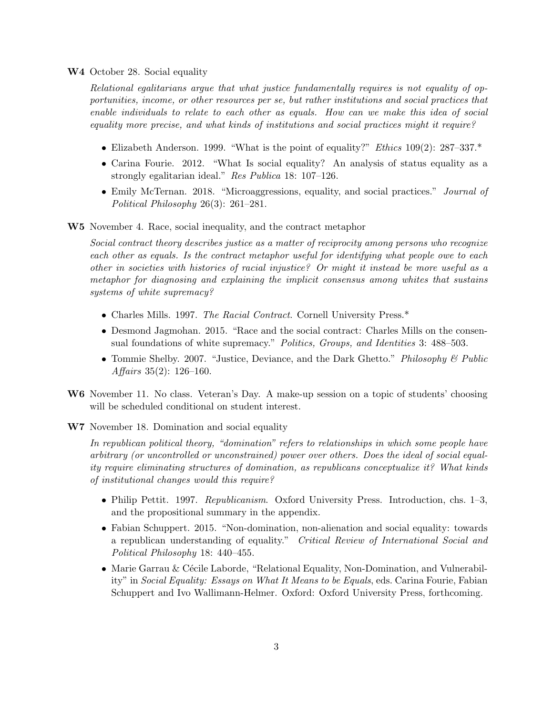#### W4 October 28. Social equality

Relational egalitarians argue that what justice fundamentally requires is not equality of opportunities, income, or other resources per se, but rather institutions and social practices that enable individuals to relate to each other as equals. How can we make this idea of social equality more precise, and what kinds of institutions and social practices might it require?

- Elizabeth Anderson. 1999. "What is the point of equality?" *Ethics* 109(2): 287–337.\*
- Carina Fourie. 2012. "What Is social equality? An analysis of status equality as a strongly egalitarian ideal." Res Publica 18: 107–126.
- Emily McTernan. 2018. "Microaggressions, equality, and social practices." Journal of Political Philosophy 26(3): 261–281.

W5 November 4. Race, social inequality, and the contract metaphor

Social contract theory describes justice as a matter of reciprocity among persons who recognize each other as equals. Is the contract metaphor useful for identifying what people owe to each other in societies with histories of racial injustice? Or might it instead be more useful as a metaphor for diagnosing and explaining the implicit consensus among whites that sustains systems of white supremacy?

- Charles Mills. 1997. The Racial Contract. Cornell University Press.\*
- Desmond Jagmohan. 2015. "Race and the social contract: Charles Mills on the consensual foundations of white supremacy." Politics, Groups, and Identities 3: 488–503.
- Tommie Shelby. 2007. "Justice, Deviance, and the Dark Ghetto." *Philosophy & Public* Affairs 35(2): 126–160.
- W6 November 11. No class. Veteran's Day. A make-up session on a topic of students' choosing will be scheduled conditional on student interest.
- W7 November 18. Domination and social equality

In republican political theory, "domination" refers to relationships in which some people have arbitrary (or uncontrolled or unconstrained) power over others. Does the ideal of social equality require eliminating structures of domination, as republicans conceptualize it? What kinds of institutional changes would this require?

- Philip Pettit. 1997. Republicanism. Oxford University Press. Introduction, chs. 1–3, and the propositional summary in the appendix.
- Fabian Schuppert. 2015. "Non-domination, non-alienation and social equality: towards a republican understanding of equality." Critical Review of International Social and Political Philosophy 18: 440–455.
- Marie Garrau & Cécile Laborde, "Relational Equality, Non-Domination, and Vulnerability" in Social Equality: Essays on What It Means to be Equals, eds. Carina Fourie, Fabian Schuppert and Ivo Wallimann-Helmer. Oxford: Oxford University Press, forthcoming.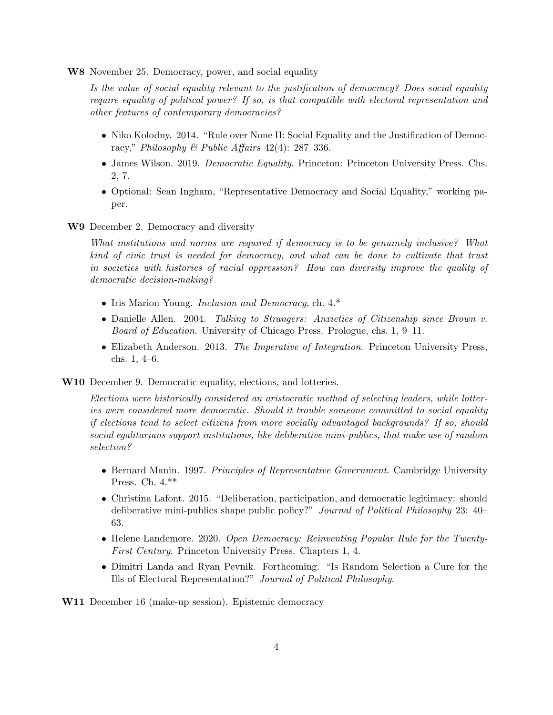W8 November 25. Democracy, power, and social equality

Is the value of social equality relevant to the justification of democracy? Does social equality require equality of political power? If so, is that compatible with electoral representation and other features of contemporary democracies?

- Niko Kolodny. 2014. "Rule over None II: Social Equality and the Justification of Democracy," Philosophy & Public Affairs 42(4): 287-336.
- James Wilson. 2019. *Democratic Equality*. Princeton: Princeton University Press. Chs. 2, 7.
- Optional: Sean Ingham, "Representative Democracy and Social Equality," working paper.
- W9 December 2. Democracy and diversity

What institutions and norms are required if democracy is to be genuinely inclusive? What kind of civic trust is needed for democracy, and what can be done to cultivate that trust in societies with histories of racial oppression? How can diversity improve the quality of democratic decision-making?

- Iris Marion Young. *Inclusion and Democracy*, ch. 4.\*
- Danielle Allen. 2004. Talking to Strangers: Anxieties of Citizenship since Brown v. Board of Education. University of Chicago Press. Prologue, chs. 1, 9–11.
- Elizabeth Anderson. 2013. The Imperative of Integration. Princeton University Press, chs. 1, 4–6.
- W10 December 9. Democratic equality, elections, and lotteries.

Elections were historically considered an aristocratic method of selecting leaders, while lotteries were considered more democratic. Should it trouble someone committed to social equality if elections tend to select citizens from more socially advantaged backgrounds? If so, should social egalitarians support institutions, like deliberative mini-publics, that make use of random selection?

- Bernard Manin. 1997. Principles of Representative Government. Cambridge University Press. Ch. 4.\*\*
- Christina Lafont. 2015. "Deliberation, participation, and democratic legitimacy: should deliberative mini-publics shape public policy?" Journal of Political Philosophy 23: 40– 63.
- Helene Landemore. 2020. Open Democracy: Reinventing Popular Rule for the Twenty-First Century. Princeton University Press. Chapters 1, 4.
- Dimitri Landa and Ryan Pevnik. Forthcoming. "Is Random Selection a Cure for the Ills of Electoral Representation?" Journal of Political Philosophy.

W11 December 16 (make-up session). Epistemic democracy